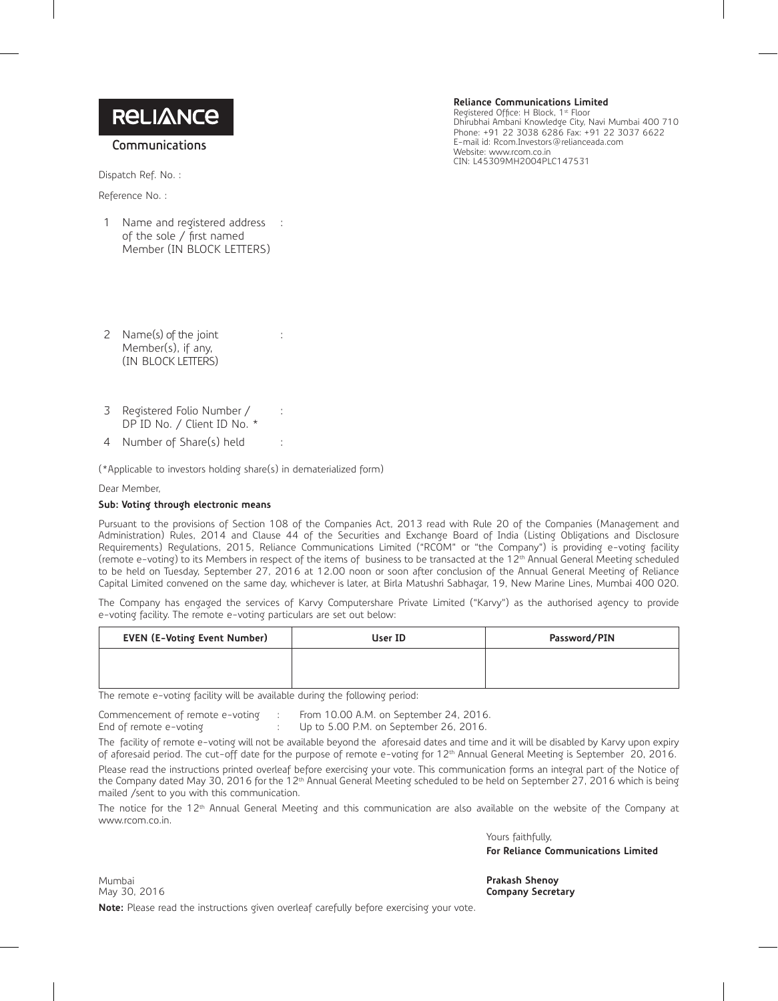**Communications**

Dispatch Ref. No. :

Reference No. :

1 Name and registered address : of the sole / first named Member (IN BLOCK LETTERS)

**Reliance Communications Limited** Registered Office: H Block, 1st Floor

Dhirubhai Ambani Knowledge City, Navi Mumbai 400 710 Phone: +91 22 3038 6286 Fax: +91 22 3037 6622 E-mail id: Rcom.Investors@relianceada.com Website: www.rcom.co.in CIN: L45309MH2004PLC147531

- 2 Name(s) of the joint Member(s), if any, (IN BLOCK LETTERS)
- 3 Registered Folio Number / DP ID No. / Client ID No. \*
- 4 Number of Share(s) held :

(\*Applicable to investors holding share(s) in dematerialized form)

:

:

Dear Member,

## **Sub: Voting through electronic means**

Pursuant to the provisions of Section 108 of the Companies Act, 2013 read with Rule 20 of the Companies (Management and Administration) Rules, 2014 and Clause 44 of the Securities and Exchange Board of India (Listing Obligations and Disclosure Requirements) Regulations, 2015, Reliance Communications Limited ("RCOM" or "the Company") is providing e-voting facility (remote e-voting) to its Members in respect of the items of business to be transacted at the 12th Annual General Meeting scheduled to be held on Tuesday, September 27, 2016 at 12.00 noon or soon after conclusion of the Annual General Meeting of Reliance Capital Limited convened on the same day, whichever is later, at Birla Matushri Sabhagar, 19, New Marine Lines, Mumbai 400 020.

The Company has engaged the services of Karvy Computershare Private Limited ("Karvy") as the authorised agency to provide e-voting facility. The remote e-voting particulars are set out below:

| <b>EVEN (E-Voting Event Number)</b> | User ID | Password/PIN |
|-------------------------------------|---------|--------------|
|                                     |         |              |
|                                     |         |              |

The remote e-voting facility will be available during the following period:

Commencement of remote e-voting : From 10.00 A.M. on September 24, 2016. End of remote e-voting : Up to 5.00 P.M. on September 26, 2016.

The facility of remote e-voting will not be available beyond the aforesaid dates and time and it will be disabled by Karvy upon expiry of aforesaid period. The cut-off date for the purpose of remote e-voting for 12<sup>th</sup> Annual General Meeting is September 20, 2016.

Please read the instructions printed overleaf before exercising your vote. This communication forms an integral part of the Notice of the Company dated May 30, 2016 for the 12<sup>th</sup> Annual General Meeting scheduled to be held on September 27, 2016 which is being mailed /sent to you with this communication.

The notice for the 12<sup>th</sup> Annual General Meeting and this communication are also available on the website of the Company at www.rcom.co.in.

Yours faithfully,

**For Reliance Communications Limited**

Mumbai **Prakash Shenoy Company Secretary** 

**Note:** Please read the instructions given overleaf carefully before exercising your vote.